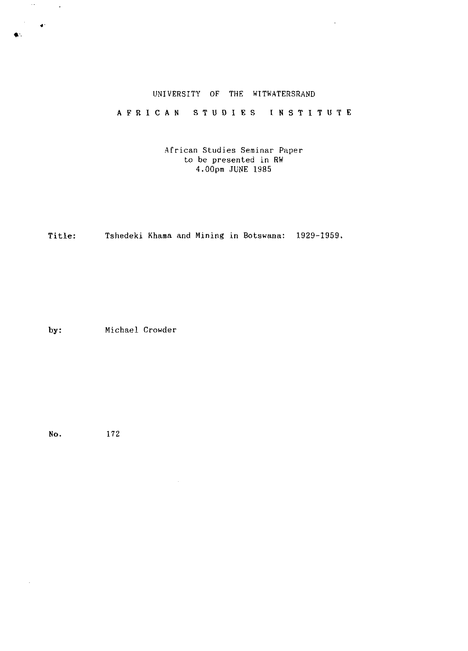# UNIVERSITY OF THE WITWATERSRAND

 $\ddot{\phantom{a}}$ 

# AFRICAN STUDIES INSTITUTE

African Studies Seminar Paper to be presented in RW 4.00pm JUNE 1985

Title: Tshedeki Khama and Mining in Botswana: 1929-1959.

 $\mathcal{L}_{\mathcal{L}}$ 

by: Michael Crowder

No. 172

 $\hat{\mathcal{L}}$ 

 $\langle\cdot\,\cdot\,\rangle$ 

 $\frac{1}{2} \left( \frac{1}{2} \right)^2$ 

 $\sim$   $\sim$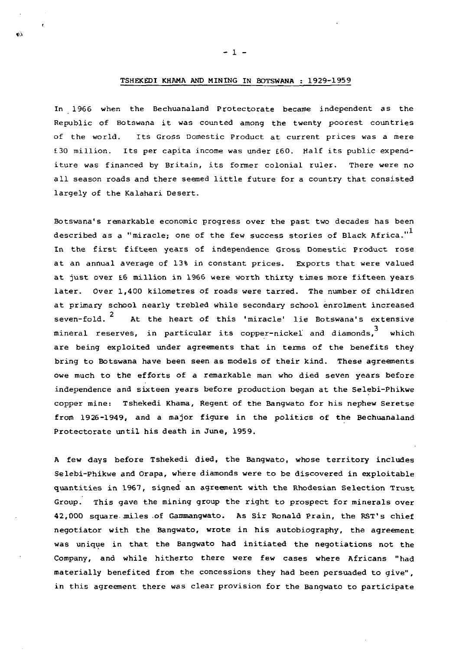# TSHEKEDI KHAMA AND MINING IN BOTSWANA : 1929-1959

In 1966 when the Bechuanaland Protectorate became independent as the Republic of Botswana it was counted among the twenty poorest countries of the world. Its Gross Domestic Product at current prices was a mere £30 million. Its per capita income was under £60. Half its public expenditure was financed by Britain, its former colonial ruler. There were no all season roads and there seemed little future for a country that consisted largely of the Kalahari Desert.

Botswana's remarkable economic progress over the past two decades has been described as a "miracle; one of the few success stories of Black Africa."<sup>1</sup> In the first fifteen years of independence Gross Domestic Product rose at an annual average of 13% in constant prices. Exports that were valued at just over £6 million in 1966 were worth thirty times more fifteen years later. Over 1,400 kilometres of roads were tarred. The number of children at primary school nearly trebled while secondary school enrolment increased seven-fold. $^2$ seven-fold. At the heart of this 'miracle' lie Botswana's extensive mineral reserves, in particular its copper-nickel" and diamonds, which are being exploited under agreements that in terms of the benefits they bring to Botswana have been seen as models of their kind. These agreements owe much to the efforts of a remarkable man who died seven years before independence and sixteen years before production began at the Selebi-Phikwe copper mine: Tshekedi Khama, Regent of the Bangwato for his nephew Seretse from 1926-1949, and a major figure in the politics of the Bechuanaland Protectorate until his death in June, 1959.

A few days before Tshekedi died, the Bangwato, whose territory includes Selebi-Phikwe and Orapa, where diamonds were to be discovered in exploitable quantities in 1967, signed an agreement with the Rhodesian Selection Trust Group. This gave the mining group the right to prospect for minerals over 42,000 square miles of Gammangwato. As Sir Ronald Prain, the RST's chief negotiator with the Bangwato, wrote in his autobiography, the agreement was unique in that the Bangwato had initiated the negotiations not the Company, and while hitherto there were few cases where Africans "had materially benefited from the concessions they had been persuaded to give", in this agreement there was clear provision for the Bangwato to participate

 $-1 -$ 

 $\alpha$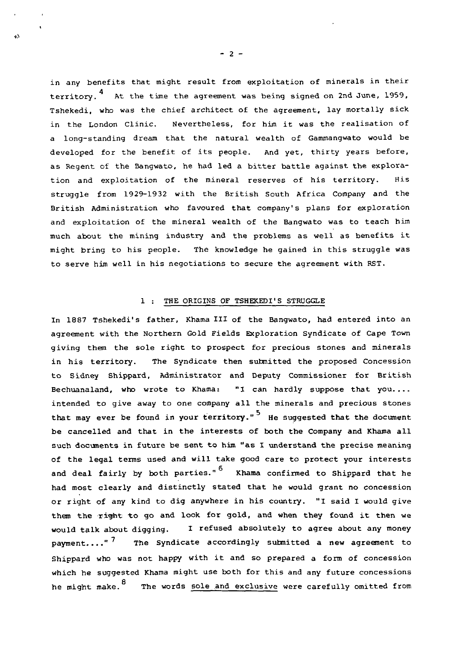in any benefits that might result from exploitation of minerals in their territory.<sup>4</sup> At the time the agreement was being signed on 2nd June, 1959, Tshekedi, who was the chief architect of the agreement, lay mortally sick in the London Clinic. Nevertheless, for him it was the realisation of a long-standing dream that the natural wealth of Gammangwato would be developed for the benefit of its people. And yet, thirty years before, as Regent of the Bangwato, he had led a bitter battle against the exploration and exploitation of the mineral reserves of his territory. His struggle from 1929-1932 with the British South Africa Company and the British Administration who favoured that company's plans for exploration and exploitation of the mineral wealth of the Bangwato was to teach him much about the mining industry and the problems as well as benefits it might bring to his people. The knowledge he gained in this struggle was to serve him well in his negotiations to secure the agreement with RST.

# 1 : THE ORIGINS OF TSHEKEDI'S STRUGGLE

In 1887 Tshekedi's father, Khama III of the Bangwato, had entered into an agreement with the Northern Gold Fields Exploration Syndicate of Cape Town giving them the sole right to prospect for precious stones and minerals in his territory. The Syndicate then submitted the proposed Concession to Sidney Shippard, Administrator and Deputy Commissioner for British Bechuanaland, who wrote to Khama: "I can hardly suppose that you.... intended to give away to one company all the minerals and precious stones that may ever be found in your territory."<sup>5</sup> He suggested that the document be cancelled and that in the interests of both the Company and Khama all such documents in future be sent to him "as I understand the precise meaning of the legal terms used and will take good care to protect your interests and deal fairly by both parties." <sup>6</sup> Khama confirmed to Shippard that he had most clearly and distinctly stated that he would grant no concession or right of any kind to dig anywhere in his country. "I said I would give them the right to go and look for gold, and when they found it then we would talk about digging. I refused absolutely to agree about any money payment...."<sup>7</sup> The Syndicate accordingly submitted a new agreement to Shippard who was not happy with it and so prepared a form of concession which he suggested Khama might use both for this and any future concessions he might make.<sup>8</sup> The words <u>sole and exclusive</u> were carefully omitted from

 $- 2 -$ 

 $\phi$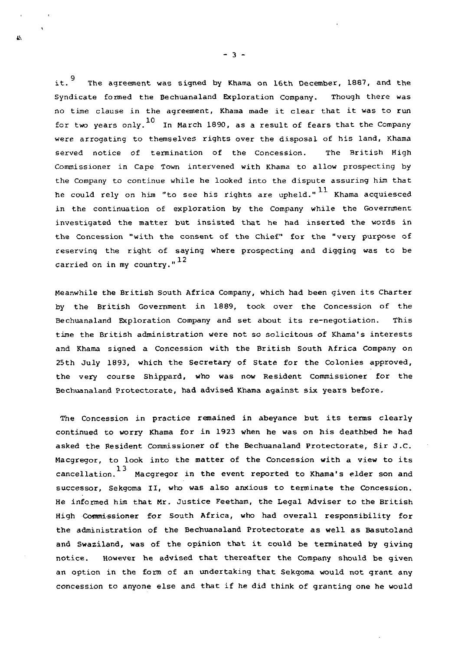$it.^9$ The agreement was signed by Khama on 16th December, 1887, and the Syndicate formed the Bechuanaland Exploration Company. Though there was no time clause in the agreement, Khama made it clear that it was to run for two years only.<sup>10</sup> In March 1890, as a result of fears that the Company were arrogating to themselves rights over the disposal of his land, Khama served notice of termination of the Concession. The British High Commissioner in Cape Town intervened with Khama to allow prospecting by the Company to continue while he looked into the dispute assuring him that he could rely on him "to see his rights are upheld." <sup>11</sup> Khama acquiesced in the continuation of exploration by the Company while the Government investigated the matter but insisted that he had inserted the words in the Concession "with the consent of the Chief" for the "very purpose of reserving the right of saying where prospecting and digging was to be carried on in my country." $^{12}$ 

Meanwhile the British South Africa Company, which had been given its Charter by the British Government in 1889, took over the Concession of the Bechuanaland Exploration Company and set about its re-negotiation. This time the British administration were not so solicitous of Khama's interests and Khama signed a Concession with the British South Africa Company on 25th July 1893, which the Secretary of State for the Colonies approved, the very course Shippard, who was now Resident Commissioner for the Bechuanaland Protectorate, had advised Khama against six years before.

The Concession in practice remained in abeyance but its terms clearly continued to worry Khama for in 1923 when he was on his deathbed he had asked the Resident Commissioner of the Bechuanaland Protectorate, Sir J.C. Macgregor, to look into the matter of the Concession with a view to its 13 cancellation. Macgregor in the event reported to Khama<sup>1</sup>s elder son and successor, Sekgoma II, who was also anxious to terminate the Concession. He informed him that Mr. Justice Feetham, the Legal Adviser to the British High Commissioner for South Africa, who had overall responsibility for the administration of the Bechuanaland Protectorate as well as Basutoland and Swaziland, was of the opinion that it could be terminated by giving notice. However he advised that thereafter the Company should be given an option in the form of an undertaking that Sekgoma would not grant any concession to anyone else and that if he did think of granting one he would

 $-3 -$ 

 $\overline{\mathbf{v}}$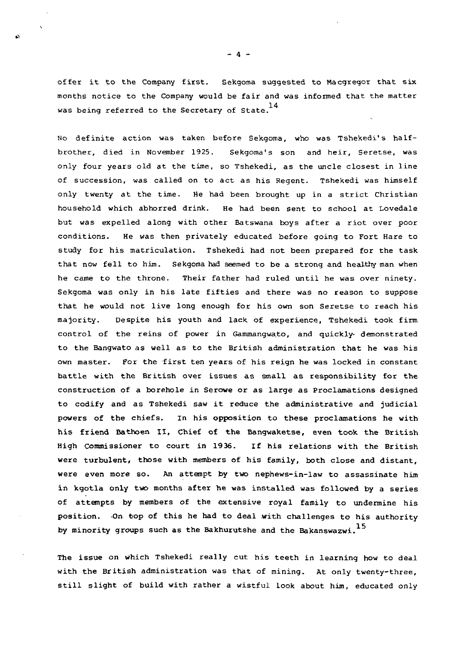offer it to the Company first. Sekgoma suggested to Macgregor that six months notice to the Company would be fair and was informed that the matter 14 was being referred to the Secretary of State.

No definite action was taken before Sekgoma, who was Tshekedi's halfbrother, died in November 1925. Sekgoma's son and heir, Seretse, was only four years old at the time, so Tshekedi, as the uncle closest in line of succession, was called on to act as his Regent. Tshekedi was himself only twenty at the time. He had been brought up in a strict Christian household which abhorred drink. He had been sent to school at Lovedale but was expelled along with other Batswana boys after a riot over poor conditions. He was then privately educated before going to Fort Hare to study for his matriculation. Tshekedi had not been prepared for the task that now fell to him. Sekgoma had seemed to be a strong and healthy man when he came to the throne. Their father had ruled until he was over ninety. Sekgoma was only in his late fifties and there was no reason to suppose that he would not live long enough for his own son Seretse to reach his majority. Despite his youth and lack of experience, Tshekedi took firm control of the reins of power in Gammangwato, and quickly- demonstrated to the Bangwato as well as to the British administration that he was his own master. For the first ten years of his reign he was locked in constant battle with the British over issues as small as responsibility for the construction of a borehole in Serowe or as large as Proclamations designed to codify and as Tshekedi saw it reduce the administrative and judicial powers of the chiefs. In his opposition to these proclamations he with his friend Bathoen II, Chief of the Bangwaketse, even took the British High Commissioner to court in 1936. If his relations with the British were turbulent, those with members of his family, both close and distant, were even more so. An attempt by two nephews-in-law to assassinate him in kgotla only two months after he was installed was followed by a series of attempts by members of the extensive royal family to undermine his position. -On top of this he had to deal with challenges to his authority by minority groups such as the Bakhurutshe and the Bakanswazwi.<sup>15</sup>

The issue on which Tshekedi really cut his teeth in learning how to deal with the British administration was that of mining. At only twenty-three, still slight of build with rather a wistful look about him, educated only

- 4 -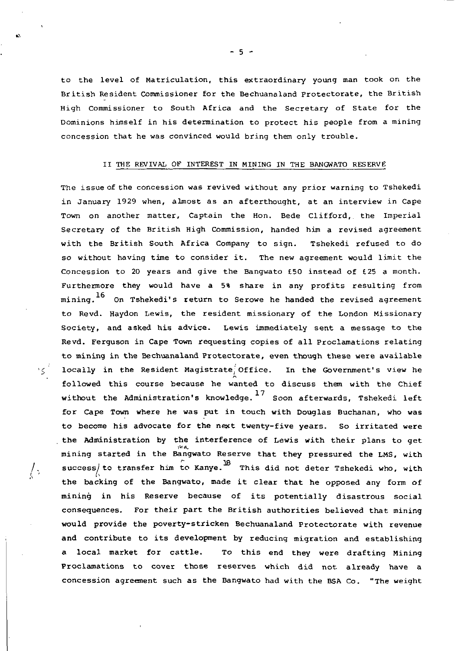to the level of Matriculation, this extraordinary young man took on the British Resident Commissioner for the Bechuanaland protectorate, the British High Commissioner to South Africa and the Secretary of State for the Dominions himself in his determination to protect his people from a mining concession that he was convinced would bring them only trouble.

### II THE REVIVAL OF INTEREST IN MINING IN THE BANGWATO RESERVE

The issue of the concession was revived without any prior warning to Tshekedi in January 1929 when, almost as an afterthought, at an interview in Cape Town on another matter, Captain the Hon. Bede Clifford, the Imperial Secretary of the British High Commission, handed him a revised agreement with the British South Africa Company to sign. Tshekedi refused to do so without having time to consider it. The new agreement would limit the Concession to 20 years and give the Bangwato £50 instead of £25 a month. Furthermore they would have a 5% share in any profits resulting from mining. On Tshekedi's return to Serowe he handed the revised agreement to Revd. Haydon Lewis, the resident missionary of the London Missionary Society, and asked his advice. Lewis immediately sent a message to the Revd. Ferguson in Cape Town requesting copies of all Proclamations relating to mining in the Bechuanaland Protectorate, even though these were available  $\frac{1}{2}$  locally in the Resident Magistrate<sup>2</sup> Office. In the Government's view he followed this course because he wanted to discuss them with the Chief without the Administration's knowledge.<sup>17</sup> Soon afterwards, Tshekedi left for Cape Town where he was put in touch with Douglas Buchanan, who was to become his advocate for the next twenty-five years. So irritated were the Administration by the interference of Lewis with their plans to get mining started in the Bangwato Reserve that they pressured the LMS, with  $\frac{1}{2}$  success to transfer him to Kanve  $^{18}$  $\gamma$ . Success/to transfer him to  $\kappa$  ji. This did not deter Tshekedi who, with the backing of the Bangwato, made it clear that he opposed any form of mining in his Reserve because of its potentially disastrous social consequences. For their part the British authorities believed that mining would provide the poverty-stricken Bechuanaland Protectorate with revenue and contribute to its development by reducing migration and establishing a local market for cattle. To this end they were drafting Mining Proclamations to cover those reserves which did not already have a concession agreement such as the Bangwato had with the BSA Co. "The weight

 $-5 -$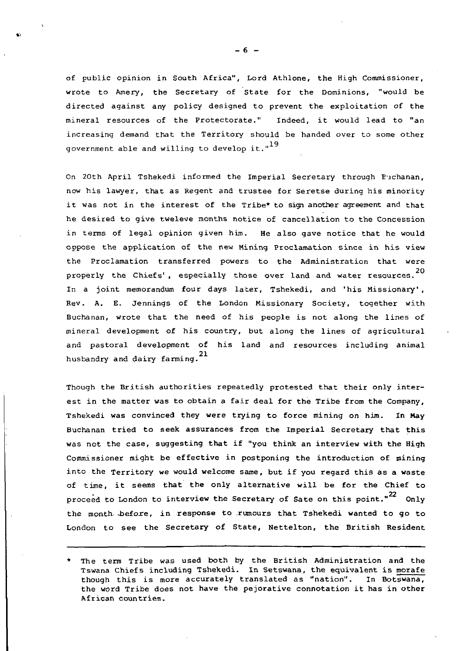of public opinion in South Africa", Lord Athlone, the High Commissioner, wrote to Amery, the Secretary of State for the Dominions, "would be directed against any policy designed to prevent the exploitation of the mineral resources of the Protectorate." Indeed, it would lead to "an increasing demand that the Territory should be handed over to some other government able and willing to develop it." $^{19}$ 

On 20th April Tshekedi informed the Imperial Secretary through Bjchanan, now his lawyer, that as Regent and trustee for Seretse during his minority it was not in the interest of the Tribe\* to sign another agreement and that he desired to give tweleve months notice of cancellation to the Concession in terms of legal opinion given him. He also gave notice that he would oppose the application of the new Mining Proclamation since in his view the Proclamation transferred powers to the Administration that were properly the Chiefs', especially those over land and water resources.<sup>20</sup> In a joint memorandum four days later, Tshekedi, and 'his Missionary', Rev. A. E. Jennings of the London Missionary Society, together with Buchanan, wrote that the need of his people is not along the lines of mineral development of his country, but along the lines of agricultural and pastoral development of his land and resources including animal 21 husbandry and dairy farming.

Though the British authorities repeatedly protested that their only interest in the matter was to obtain a fair deal for the Tribe from the Company, Tshekedi was convinced they were trying to force mining on him. In May Buchanan tried to seek assurances from the Imperial Secretary that this was not the case, suggesting that if "you think an interview with the High Commissioner might be effective in postponing the introduction of mining into the Territory we would welcome same, but if you regard this as a waste of time, it seems that the only alternative will be for the Chief to proceed to London to interview the Secretary of Sate on this point." $22$  Only the month before, in response to rumours that Tshekedi wanted to go to London to see the Secretary of State, Nettelton, the British Resident

 $- 6 -$ 

The term Tribe was used both by the British Administration and the Tswana Chiefs including Tshekedi. In Setswana, the equivalent is morafe though this is more accurately translated as "nation". In Botswana, the word Tribe does not have the pejorative connotation it has in other African countries.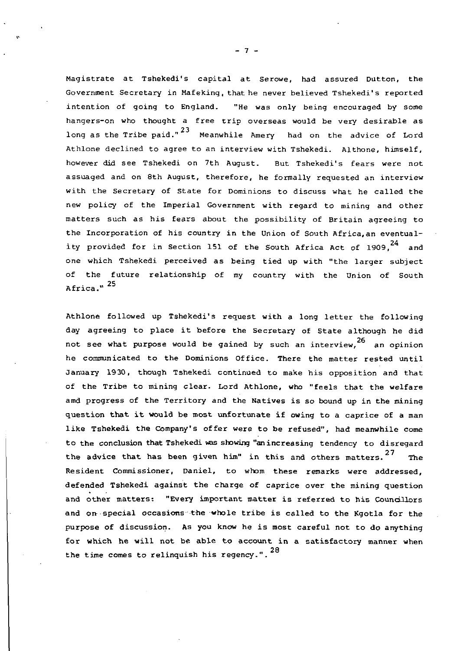Magistrate at Tshekedi's capital at Serowe, had assured Dutton, the Government Secretary in Mafeking, that he never believed Tshekedi's reported intention of going to England. "He was only being encouraged by some hangers-on who thought a free trip overseas would be very desirable as long as the Tribe paid." $^{23}$  Meanwhile Amery  $\,$  had on the advice of <code>Lord</code> Athlone declined to agree to an interview with Tshekedi. Althone, himself, however did see Tshekedi on 7th August. But Tshekedi's fears were not assuaged and on 8th August, therefore, he formally requested an interview with the Secretary of State for Dominions to discuss what he called the new policy of the Imperial Government with regard to mining and other matters such as his fears about the possibility of Britain agreeing to the Incorporation of his country in the Union of South Africa,an eventuality provided for in Section 151 of the South Africa Act of 1909,<sup>24</sup> and one which Tshekedi perceived as being tied up with "the larger subject of the future relationship of my country with the Union of South Africa." <sup>25</sup>

Athlone followed up Tshekedi's request with a long letter the following day agreeing to place it before the Secretary of State although he did not see what purpose would be gained by such an interview,  $26$  an opinion he communicated to the Dominions Office. There the matter rested until January 1930, though Tshekedi continued to make his opposition and that of the Tribe to mining clear. Lord Athlone, who "feels that the welfare amd progress of the Territory and the Natives is so bound up in the mining question that it would be most unfortunate if owing to a caprice of a man like Tshekedi the Company's offer were to be refused", had meanwhile come to the conclusion that Tshekedi was showing "anincreasing tendency to disregard the advice that has been given him" in this and others matters.<sup>27</sup> The Resident Commissioner, Daniel, to whom these remarks were addressed, defended Tshekedi against the charge of caprice over the mining question and other matters: "Every important matter is referred to his Councillors and on- special occasions the whole tribe is called to the Kgotla for the purpose of discussion. As you know he is most careful not to do anything for which he will not be able to account in a satisfactory manner when 28 the time comes to relinquish his regency.".

- 7 -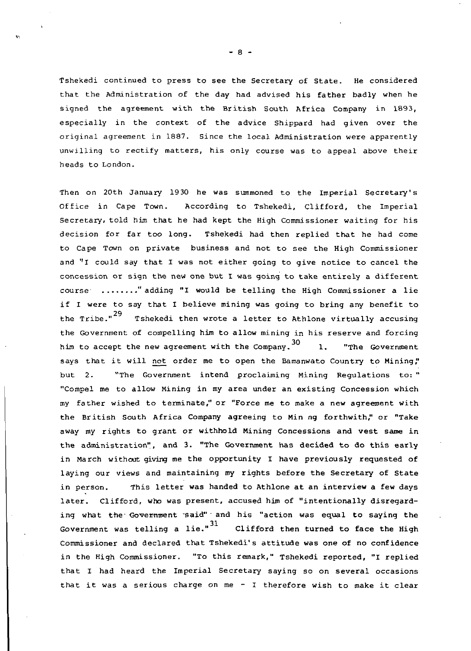Tshekedi continued to press to see the Secretary of State. He considered that the Administration of the day had advised his father badly when he signed the agreement with the British South Africa Company in 1893, especially in the context of the advice Shippard had given over the original agreement in 1887. Since the local Administration were apparently unwilling to rectify matters, his only course was to appeal above their heads to London.

Then on 20th January 1930 he was summoned to the Imperial Secretary's Office in Cape Town. According to Tshekedi, Clifford, the Imperial Secretary, told him that he had kept the High Commissioner waiting for his decision for far too long. Tshekedi had then replied that he had come to Cape Town on private business and not to see the High Commissioner and "I could say that I was not either going to give notice to cancel the concession or sign the new one but I was going to take entirely a different course ........" adding "I would be telling the High Commissioner a lie if I were to say that I believe mining was going to bring any benefit to the Tribe." $^{29}$ Tshekedi then wrote a letter to Athlone virtually accusing the Government of compelling him to allow mining in his reserve and forcing him to accept the new agreement with the Company.<sup>30</sup> 1. "The Government says that it will not order me to open the Bamanwato Country to Mining," but 2. "The Government intend proclaiming Mining Regulations to: " "Compel me to allow Mining in my area under an existing Concession which my father wished to terminate/' or "Force me to make a new agreement with the British South Africa Company agreeing to Min ng forthwith," or "Take away my rights to grant or withhold Mining Concessions and vest same in the administration", and 3. "The Government has decided to do this early in March without giving me the opportunity I have previously requested of laying our views and maintaining my rights before the Secretary of State in person. This letter was handed to Athlone at an interview a few days later. Clifford, who was present, accused him of "intentionally disregarding what the Government said" and his "action was equal to saying the Government was telling a lie." $^{\rm 31}$   $\,$  Clifford then turned to face the High Commissioner and declared that Tshekedi's attitude was one of no confidence in the High Commissioner. "To this remark," Tshekedi reported, "I replied that I had heard the Imperial Secretary saying so on several occasions that it was a serious charge on me - I therefore wish to make it clear

- 8 -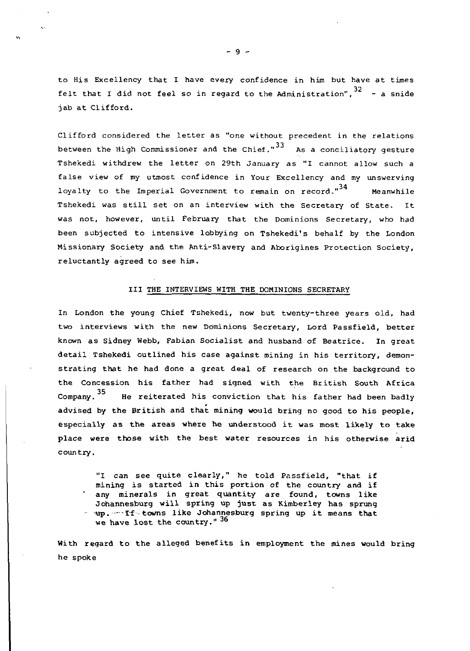to His Excellency that I have every confidence in him but have at times felt that I did not feel so in regard to the Administration", $^{32}$  – a snide jab at Clifford.

Clifford considered the letter as "one without precedent in the relations between the High Commissioner and the Chief." $33$  As a conciliatory gesture Tshekedi withdrew the letter on 29th January as "I cannot allow such a false view of my utmost confidence in Your Excellency and my unswerving loyalty to the Imperial Government to remain on record."<sup>34</sup> Meanwhile Tshekedi was still set on an interview with the Secretary of State. It was not, however, until February that the Dominions Secretary, who had been subjected to intensive lobbying on Tshekedi's behalf by the London Missionary Society and the Anti-Slavery and Aborigines Protection Society, reluctantly agreed to see him.

#### Ill THE INTERVIEWS WITH THE DOMINIONS SECRETARY

In London the young Chief Tshekedi, now but twenty-three years old, had two interviews with the new Dominions Secretary, Lord Passfield, better known as Sidney Webb, Fabian Socialist and husband of Beatrice. In great detail Tshekedi outlined his case against mining in his territory, demonstrating that he had done a great deal of research on the background to the Concession his father had signed with the British South Africa Company. He reiterated his conviction that his father had been badly advised by the British and that mining would bring no good to his people, especially as the areas where he understood it was most likely to take place were those with the best water resources in his otherwise arid country.

"I can see quite clearly," he told Passfield, "that if mining is started in this portion of the country and if any minerals in great quantity are found, towns like Johannesburg will spring up just as Kimberley has sprung in up. If towns like Johannesburg spring up it means that we have lost the country."  $36$ 

With regard to the alleged benefits in employment the mines would bring he spoke

- 9 -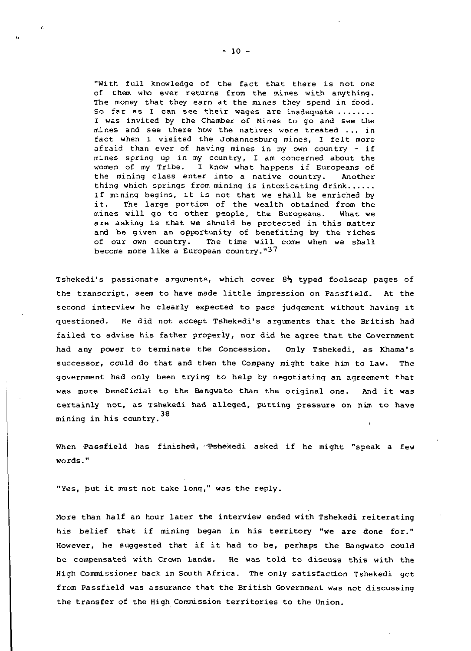"With full knowledge of the fact that there is not one of them who ever returns from the mines with anything. The money that they earn at the mines they spend in food. So far as I can see their wages are inadequate ........ I was invited by the Chamber of Mines to go and see the mines and see there how the natives were treated .. . in fact when I visited the Johannesburg mines, I felt more afraid than ever of having mines in my own country - if mines spring up in my country, I am concerned about the women of my Tribe. I know what happens if Europeans of the mining class enter into a native country. Another thing which springs from mining is intoxicating drink...... If mining begins, it is not that we shall be enriched by it. The large portion of the wealth obtained from the mines will go to other people, the Europeans. What we are asking is that we should be protected in this matter and be given an opportunity of benefiting by the riches of our own country. The time will come when we shall become more like a European country."37

Tshekedi's passionate arguments, which cover  $8\frac{1}{2}$  typed foolscap pages of the transcript, seem to have made little impression on Passfield. At the second interview he clearly expected to pass judgement without having it questioned. He did not accept Tshekedi's arguments that the British had failed to advise his father properly, nor did he agree that the Government had any power to terminate the Concession. Only Tshekedi, as Khama's successor, could do that and then the Company might take him to Law. The government had only been trying to help by negotiating an agreement that was more beneficial to the Bangwato than the original one. And it was certainly not, as Tshekedi had alleged, putting pressure on him to have mining in his country. <sup>38</sup>

When Passfield has finished, 'Tshekedi asked if he might "speak a few words."

"Yes, but it must not take long," was the reply.

More than half an hour later the interview ended with Tshekedi reiterating his belief that if mining began in his territory "we are done for." However, he suggested that if it had to be, perhaps the Bangwato could be compensated with Crown Lands. He was told to discuss this with the High Commissioner back in South Africa. The only satisfaction Tshekedi got from Passfield was assurance that the British Government was not discussing the transfer of the High Commission territories to the Union.

 $\mathcal{O}^{\mathcal{C}}$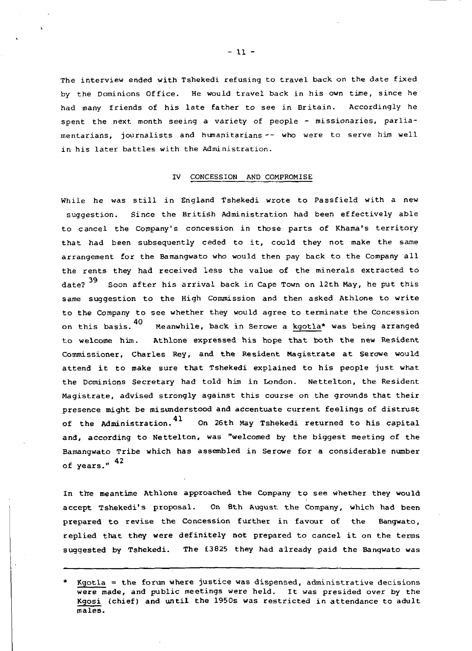The interview ended with Tshekedi refusing to travel back, on the date fixed by the Dominions Office. He would travel back in his own time, since he had many friends of his late father to see in Britain. Accordingly he spent the next month seeing a variety of people - missionaries, parliamentarians, journalists and humanitarians -- who were to serve him well in his later battles with the Administration.

#### IV CONCESSION AND COMPROMISE

While he was still in England Tshekedi wrote to Passfield with a new suggestion. Since the British Administration had been effectively able to cancel the Company's concession in those parts of Khama's territory that had been subsequently ceded to it, could they not make the same arrangement for the Bamangwato who would then pay back to the Company all the rents they had received less the value of the minerals extracted to date?<sup>39</sup> Soon after his arrival back in Cape Town on 12th May, he put this same suggestion to the High Commission and then asked Athlone to write to the Company to see whether they would agree to terminate the Concession this hasis 40 Meanwhile hask in Serowe a kontlat was being arranged on this basis. 40 on this basis. Meanwhile, back in Serowe a <u>kgotia</u>\* was being arranged to welcome him. Athlone expressed his hope that both the new Resident Commissioner, Charles Rey, and the Resident Magistrate at Serowe would attend it to make sure that Tshekedi explained to his people just what the Dominions Secretary had told him in London. Nettelton, the Resident Magistrate, advised strongly against this course on the grounds that their presence might be misunderstood and accentuate current feelings of distrust of the Administration.<sup>41</sup> On 26th May Tshekedi returned to his capital and, according to Nettelton, was "welcomed by the biggest meeting of the Bamangwato Tribe which has assembled in Serowe for a considerable number of years." 42

In the meantime Athlone approached the Company to see whether they would accept Tshekedi's proposal. On 8th August the Company, which had been prepared to revise the Concession further in favour of the Bangwato, replied that they were definitely not prepared to cancel it on the terms suggested by Tshekedi. The £3825 they had already paid the Bangwato was

- 11 -

Kgotla = the forum where justice was dispensed, administrative decisions were made, and public meetings were held. It was presided over by the Kgosi (chief) and until the 1950s was restricted in attendance to adult males.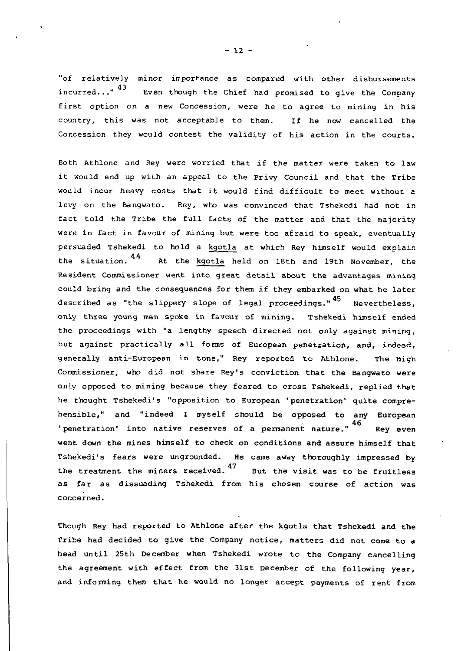"of relatively minor importance as compared with other disbursements incurred..." $43$ Even though the Chief had promised to give the Company first option on a new Concession, were he to agree to mining in his country, this was not acceptable to them. If he now cancelled the Concession they would contest the validity of his action in the courts.

Both Athlone and Rey were worried that if the matter were taken to law it would end up with an appeal to the Privy Council and that the Tribe would incur heavy costs that it would find difficult to meet without a levy on the Bangwato. Rey, who was convinced that Tshekedi had not in fact told the Tribe the full facts of the matter and that the majority were in fact in favour of mining but were too afraid to speak, eventually persuaded Tshekedi to hold a kgotla at which Rey himself would explain the situation. 44 At the kgotla held on 18th and 19th November, the Resident Commissioner went into great detail about the advantages mining could bring and the consequences for them if they embarked on what he later described as "the slippery slope of legal proceedings."<sup>45</sup> Nevertheless, only three young men spoke in favour of mining. Tshekedi himself ended the proceedings with "a lengthy speech directed not only against mining, but against practically all forms of European penetration, and, indeed, generally anti-European in tone," Rey reported to Athlone. The High Commissioner, who did not share Rey's conviction that the Bangwato were only opposed to mining because they feared to cross Tshekedi, replied that he thought Tshekedi's "opposition to European 'penetration' quite comprehensible," and "indeed I myself should be opposed to any European 46 'penetration' into native reserves of a permanent nature." Rey even went down the mines himself to check on conditions and assure himself that Tshekedi's fears were ungrounded. He came away thoroughly impressed by the treatment the miners received.  $^{47}$  but the visit was to be fruitless as far as dissuading Tshekedi from his chosen course of action was concerned.

Though Rey had reported to Athlone after the kgotla that Tshekedi and the Tribe had decided to give the Company notice, matters did not come to a head until 25th December when Tshekedi wrote to the Company cancelling the agreement with effect from the 31st December of the following year, and informing them that he would no longer accept payments of rent from

 $-12 -$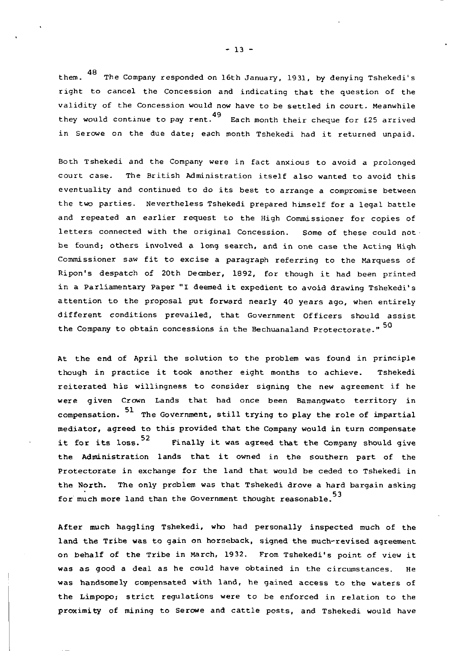48 them. The Company responded on 16th January, 1931, by denying Tshekedi's right to cancel the Concession and indicating that the question of the validity of the Concession would now have to be settled in court. Meanwhile 49 they would continue to pay rent. Each month their cheque for £25 arrived in Serowe on the due date; each month Tshekedi had it returned unpaid.

Both Tshekedi and the Company were in fact anxious to avoid a prolonged court case. The British Administration itself also wanted to avoid this eventuality and continued to do its best to arrange a compromise between the two parties. Nevertheless Tshekedi prepared himself for a legal battle and repeated an earlier request to the High Commissioner for copies of letters connected with the original Concession. Some of these could not be found; others involved a long search, and in one case the Acting High Commissioner saw fit to excise a paragraph referring to the Marquess of Ripon's despatch of 20th Deonber, 1892, for though it had been printed in a Parliamentary Paper "I deemed it expedient to avoid drawing Tshekedi's attention to the proposal put forward nearly 40 years ago, when entirely different conditions prevailed, that Government Officers should assist the Company to obtain concessions in the Bechuanaland Protectorate."<sup>50</sup>

At the end of April the solution to the problem was found in principle though in practice it took another eight months to achieve. Tshekedi reiterated his willingness to consider signing the new agreement if he were given Crown Lands that had once been Bamangwato territory in compensation.  $51$  The Government, still trying to play the role of impartial mediator, agreed to this provided that the Company would in turn compensate it for its loss.<sup>52</sup> Finally it was agreed that the Company should give the Administration lands that it owned in the southern part of the Protectorate in exchange for the land that would be ceded to Tshekedi in the North. The only problem was that Tshekedi drove a hard bargain asking for much more land than the Government thought reasonable.<sup>53</sup>

After much haggling Tshekedi, who had personally inspected much of the land the Tribe was to gain on horseback, signed the much-revised agreement on behalf of the Tribe in March, 1932. From Tshekedi's point of view it was as good a deal as he could have obtained in the circumstances. He was handsomely compensated with land, he gained access to the waters of the Limpopo; strict regulations were to be enforced in relation to the proximity of mining to Serowe and cattle posts, and Tshekedi would have

 $-13 -$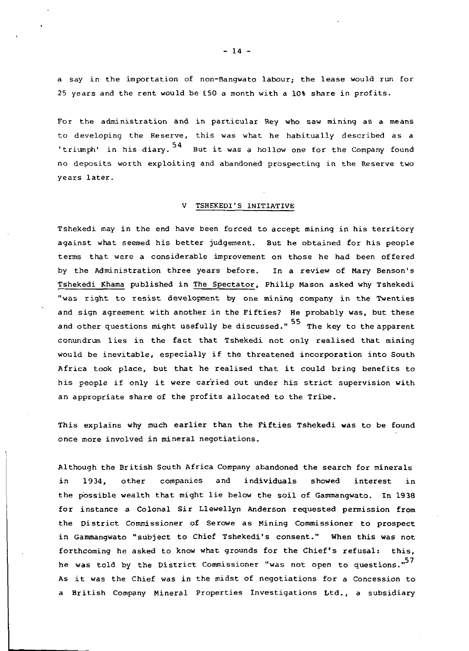a say in the importation of non-Bangwato labour; the lease would run for 25 years and the rent would be £.50 a month with a 10% share in profits.

For the administration and in particular Rey who saw mining as a means to developing the Reserve, this was what he habitually described as a triumph' in his diary. <sup>54</sup> But it was a hollow one for the Company found no deposits worth exploiting and abandoned prospecting in the Reserve two years later.

# V TSHEKEDI'S INITIATIVE

Tshekedi may in the end have been forced to accept mining in his territory against what seemed his better judgement. But he obtained for his people terms that were a considerable improvement on those he had been offered by the Administration three years before. In a review of Mary Benson's Tshekedi Khama published in The Spectator, Philip Mason asked why Tshekedi "was right to resist development by one mining company in the Twenties and sign agreement with another in the Fifties? He probably was, but these and other questions might usefully be discussed." <sup>55</sup> The key to the apparent conundrum lies in the fact that Tshekedi not only realised that mining would be inevitable, especially if the threatened incorporation into South Africa took place, but that he realised that it could bring benefits to his people if only it were carried out under his strict supervision with an appropriate share of the profits allocated to the Tribe.

This explains why much earlier than the Fifties Tshekedi was to be found once more involved in mineral negotiations.

Although the British South Africa Company abandoned the search for minerals in 1934, other companies and individuals showed interest in the possible wealth that might lie below the soil of Gammangwato. In 1938 for instance a Colonal Sir Llewellyn Anderson requested permission from the District Commissioner of Serowe as Mining Commissioner to prospect in Gammangwato "subject to Chief Tshekedi's consent." When this was not forthcoming he asked to know what grounds for the Chief's refusal: this, he was told by the District Commissioner "was not open to questions."<sup>57</sup> As it was the Chief was in the midst of negotiations for a Concession to a British Company Mineral Properties Investigations Ltd., a subsidiary

 $- 14 -$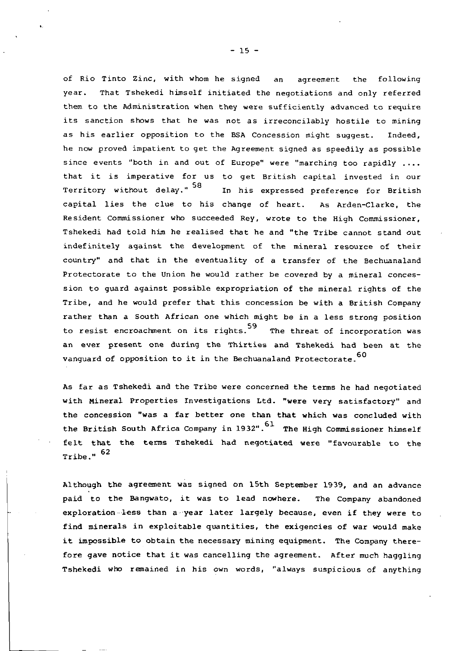of Rio Tinto Zinc, with whom he signed an agreement the following year. That Tshekedi himself initiated the negotiations and only referred them to the Administration when they were sufficiently advanced to require its sanction shows that he was not as irreconcilably hostile to mining as his earlier opposition to the BSA Concession might suggest. Indeed, he now proved impatient to get the Agreement signed as speedily as possible since events "both in and out of Europe" were "marching too rapidly .... that it is imperative for us to get British capital invested in our Territory without delay."<sup>58</sup> In his expressed preference for British capital lies the clue to his change of heart. As Arden-Clarke, the Resident Commissioner who succeeded Rey, wrote to the High Commissioner, Tshekedi had told him he realised that he and "the Tribe cannot stand out indefinitely against the development of the mineral resource of their country" and that in the eventuality of a transfer of the Bechuanaland Protectorate to the Union he would rather be covered by a mineral concession to guard against possible expropriation of the mineral rights of the Tribe, and he would prefer that this concession be with a British Company rather than a South African one which might be in a less strong position 59 to resist encroachment on its rights. The threat of incorporation was an ever present one during the Thirties and Tshekedi had been at the vanguard of opposition to it in the Bechuanaland Protectorate.<sup>60</sup>

As far as Tshekedi and the Tribe were concerned the terms he had negotiated with Mineral Properties Investigations Ltd. "were very satisfactory" and the concession "was a far better one than that which was concluded with the British South Africa Company in 1932".<sup>61</sup> The High Commissioner himself felt that the terms Tshekedi had negotiated were "favourable to the Tribe." <sup>62</sup>

Although the agreement was signed on 15th September 1939, and an advance paid to the Bangwato, it was to lead nowhere. The Company abandoned exploration less than a year later largely because, even if they were to find minerals in exploitable quantities, the exigencies of war would make it impossible to obtain the necessary mining equipment. The Company therefore gave notice that it was cancelling the agreement. After much haggling Tshekedi who remained in his own words, "always suspicious of anything

 $- 15 -$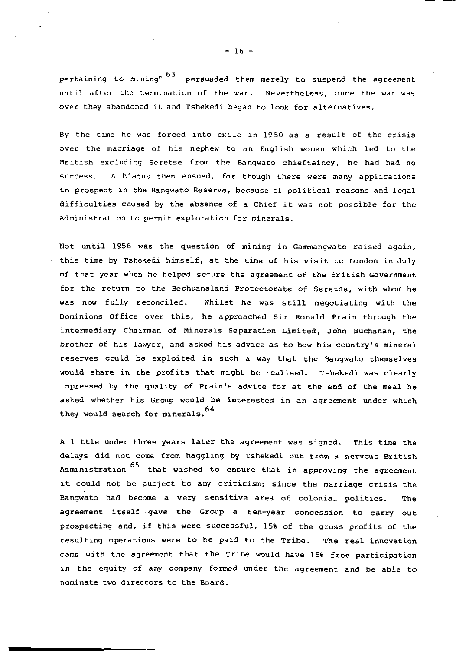pertaining to mining" 63 persuaded them merely to suspend the agreement until after the termination of the war. Nevertheless, once the war was over they abandoned it and Tshekedi began to look for alternatives.

By the time he was forced into exile in 1950 as a result of the crisis over the marriage of his nephew to an English women which led to the British excluding Seretse from the Bangwato chieftaincy, he had had no success. A hiatus then ensued, for though there were many applications to prospect in the Bangwato Reserve, because of political reasons and legal difficulties caused by the absence of a Chief it was not possible for the Administration to permit exploration for minerals.

Not until 1956 was the question of mining in Gammangwato raised again, this time by Tshekedi himself, at the time of his visit to London in July of that year when he helped secure the agreement of the British Government for the return to the Bechuanaland Protectorate of Seretse, with whom he was now fully reconciled. Whilst he was still negotiating with the Dominions Office over this, he approached Sir Ronald Prain through the intermediary Chairman of Minerals Separation Limited, John Buchanan, the brother of his lawyer, and asked his advice as to how his country's mineral reserves could be exploited in such a way that the Bangwato themselves would share in the profits that might be realised. Tshekedi was clearly impressed by the quality of Prain's advice for at the end of the meal he asked whether his Group would be interested in an agreement under which 64 they would search for minerals.

A little under three years later the agreement was signed. This time the delays did not come from haggling by Tshekedi but from a nervous British Administration  $65$  that wished to ensure that in approving the agreement it could not be subject to any criticism; since the marriage crisis the Bangwato had become a very sensitive area of colonial politics. The -agreement itself gave the Group a ten-year concession to carry out prospecting and, if this were successful, 15% of the gross profits of the resulting operations were to be paid to the Tribe. The real innovation came with the agreement that the Tribe would have 15% free participation in the equity of any company formed under the agreement and be able to nominate two directors to the Board.

 $-16 -$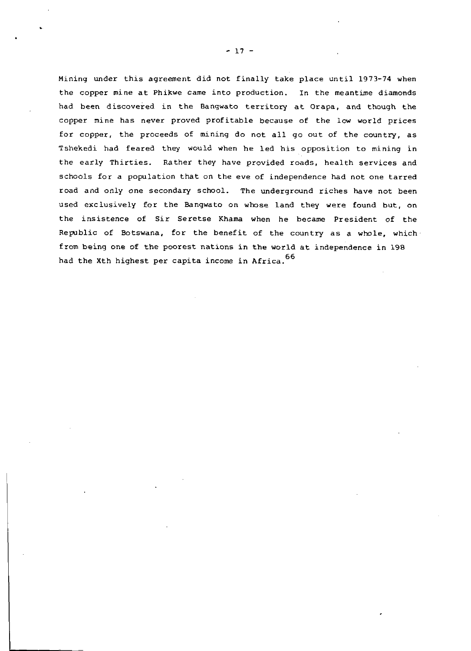Mining under this agreement did not finally take place until 1973-74 when the copper mine at Phikwe came into production. In the meantime diamonds had been discovered in the Bangwato territory at Orapa, and though the copper mine has never proved profitable because of the low world prices for copper, the proceeds of mining do not all go out of the country, as Tshekedi had feared they would when he led his opposition to mining in the early Thirties. Rather they have provided roads, health services and schools for a population that on the eve of independence had not one tarred road and only one secondary school. The underground riches have not been used exclusively for the Bangwato on whose land they were found but, on the insistence of Sir Seretse Khama when he became President of the Republic of Botswana, for the benefit of the country as a whole, which from being one of the poorest nations in the world at independence in 198 had the Xth highest per capita income in Africa. 66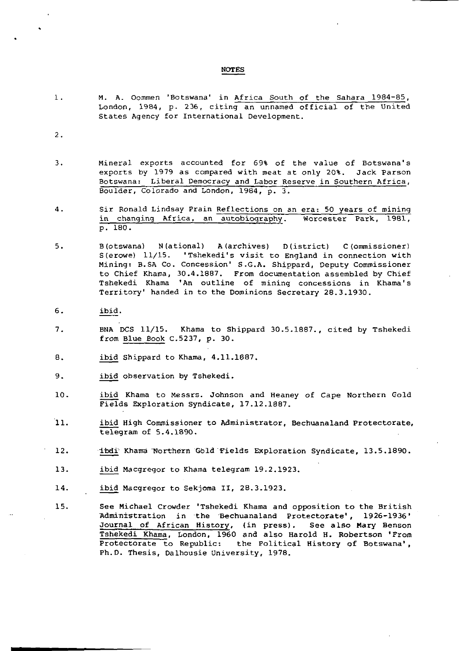#### NOTES

1. M. A. Oommen 'Botswana' in Africa South of the Sahara 1984-85, London, 1984, p. 236, citing an unnamed official of the United States Agency for International Development.

2.

- 3. Mineral exports accounted for 69% of the value of Botswana's exports by 1979 as compared with meat at only 20%. Jack Parson Botswana: Liberal Democracy and Labor Reserve in Southern Africa, Boulder, Colorado and London, 1984, p. 3-
- 4. Sir Ronald Lindsay Prain Reflections on an era: 50 years of mining in changing Africa, an autobiography. Worcester Park, 1981, p. 180.
- 5. B(otswana) N(ational) A (archives) D (istrict) C(ommissioner) S(erowe) 11/15. 'Tshekedi's visit to England in connection with Mining: B.SA Co. Concession' S.G.A. Shippard, Deputy Commissioner to Chief Khama, 30.4.1887. From documentation assembled by Chief Tshekedi Khama 'An outline of mining concessions in Khama's Territory' handed in to the Dominions Secretary 28.3.1930.
- 6. ibid.
- 7. BNA DCS 11/15. Khama to Shippard 30.5.1887., cited by Tshekedi from Blue Book C.5237, p. 30.
- 8. ibid Shippard to Khama, 4.11.1887.
- 9. ibid observation by Tshekedi.
- 10. ibid Khama to Messrs. Johnson and Heaney of Cape Northern Gold Fields Exploration Syndicate, 17.12.1887.
- 11. ibid High Commissioner to Administrator, Bechuanaland Protectorate, telegram of 5.4.1890.
- 12. Itadi Khama Northern Gold Fields Exploration Syndicate, 13.5.1890.
- 13. ibid Macgregor to Khama telegram 19.2.1923.
- 14. ibid Macgregor to Sekjoma II, 28.3.1923.
- 15. See Michael Crowder 'Tshekedi Khama and opposition to the British Administration in the Bechuanaland Protectorate', 1926-1936' Journal of African History, (in press). See also Mary Benson Tshekedi Khama, London, 1960 and also Harold H. Robertson 'From Protectorate to Republic: the Political History of Botswana', Ph.D. Thesis, Dalhousie University, 1978.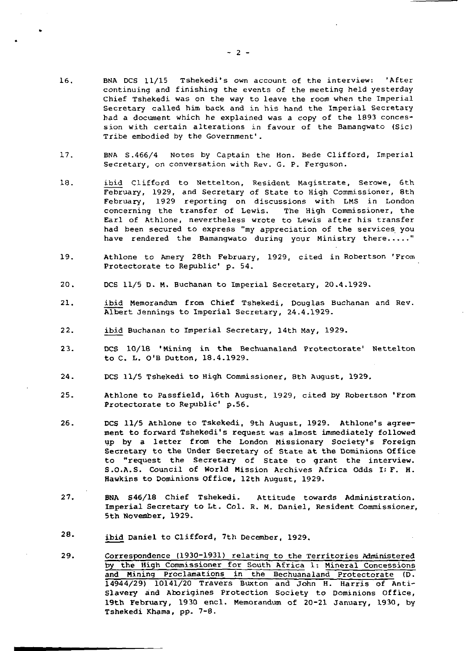- 16. BNA DCS 11/15 Tshekedi's own account of the interview: 'After continuing and finishing the events of the meeting held yesterday Chief Tshekedi was on the way to leave the room when the Imperial Secretary called him back, and in his hand the Imperial Secretary had a document which he explained was a copy of the 1893 concession with certain alterations in favour of the Bamangwato (Sic) Tribe embodied by the Government'.
- 17. BNA S.466/4 Notes by Captain the Hon. Bede Clifford, Imperial Secretary, on conversation with Rev. G. P. Ferguson.
- 18. ibid Clifford to Nettelton, Resident Magistrate, Serowe, 6th February, 1929, and Secretary of State to High Commissioner, 8th February, 1929 reporting on discussions with LMS in London concerning the transfer of Lewis. The High Commissioner, the Earl of Athlone, nevertheless wrote to Lewis after his transfer had been secured to express "my appreciation of the services you have rendered the Bamangwato during your Ministry there....."
- 19. Athlone to Amery 28th February, 1929, cited in Robertson 'From Protectorate to Republic' p. 54.
- 20. DCS 11/5 D. M. Buchanan to Imperial Secretary, 20.4.1929.
- 21. ibid Memorandum from Chief Tshekedi, Douglas Buchanan and Rev. Albert Jennings to Imperial Secretary, 24.4.1929.
- 22. ibid Buchanan to Imperial Secretary, 14th May, 1929.
- 2 3. DCS 10/18 'Mining in the Bechuanaland Protectorate' Nettelton to C. L. O'B Dutton, 18.4.1929.
- 24. DCS 11/5 Tshekedi to High Commissioner, 8th August, 1929.
- 25. Athlone to Passfield, 16th August, 1929, cited by Robertson 'From Protectorate to Republic' p.56.
- 26. DCS 11/5 Athlone to Tskekedi, 9th August, 1929. Athlone's agreement to forward Tshekedi's request was almost immediately followed up by a letter from the London Missionary Society's Foreign Secretary to the Under Secretary of State at the Dominions Office to "request the Secretary of State to grant the interview. S.O.A.S. Council of World Mission Archives Africa Odds I: F. H. Hawkins to Dominions Office, 12th August, 1929.
- 27. BNA S46/18 Chief Tshekedi. Attitude towards Administration. Imperial Secretary to Lt. Col. R. M. Daniel, Resident Commissioner, 5th November, 1929.
- 2&' ibid Daniel to Clifford, 7th December, 1929.
- 29. Correspondence (1930-1931) relating to the Territories Administered by the High Commissioner for South Africa 1: Mineral Concessions and Mining Proclamations in the Bechuanaland Protectorate (D. 14944/29) 10141/20 Travers Buxton and John H. Harris of Anti-Slavery and Aborigines Protection Society to Dominions Office, 19th February, 1930 encl. Memorandum of 20-21 January, 1930, by Tshekedi Khama, pp. 7-8.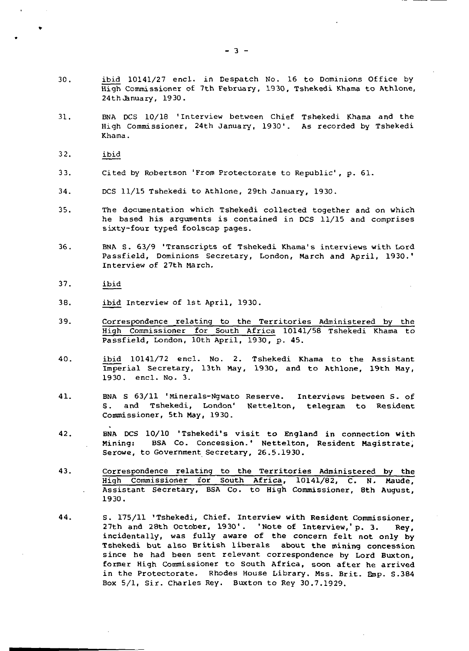- 30. ibid 10141/2 7 encl. in Despatch No. 16 to Dominions Office by High Commissioner of 7th February, 1930, Tshekedi Khama to Athlone, 24th January, 1930.
- 31. BNA DCS 10/18 'Interview between Chief Tshekedi Khama and the High Commissioner, 24th January, 1930'. As recorded by Tshekedi Khama.
- 32. ibid
- 33. Cited by Robertson 'From Protectorate to Republic' , p. 61.
- 34. DCS 11/15 Tshekedi to Athlone, 29th January, 1930.
- 35. The documentation which Tshekedi collected together and on which he based his arguments is contained in DCS 11/15 and comprises sixty-four typed foolscap pages.
- 36. BNA S. 63/9 'Transcripts of Tshekedi Khama's interviews with Lord Passfield, Dominions Secretary, London, March and April, 1930.• Interview of 27th March.
- 37. ibid
- 38. ibid Interview of 1st April, 1930.
- 39. Correspondence relating to the Territories Administered by the High Commissioner for South Africa 10141/58 Tshekedi Khama to Passfield, London, 10th April, 1930, p. 45.
- 40. ibid 10141/72 encl. No. 2. Tshekedi Khama to the Assistant Imperial Secretary, 13th May, 1930, and to Athlone, 19th May, 19 30. encl. No. 3.
- 41. BNA S 63/11 'Minerals-Ngwato Reserve. Interviews between S. of S. and Tshekedi, London' Nettelton, telegram to Resident Commissioner, 5th May, 1930.
- 42. BNA DCS 10/10 'Tshekedi's visit to England in connection with Mining: BSA Co. Concession.' Nettelton, Resident Magistrate, Serowe, to Government Secretary, 26.5.1930.
- 43. Correspondence relating to the Territories Administered by the High Commissioner for South Africa, 10141/82, C. N. Maude, Assistant Secretary, BSA Co. to High Commissioner, 8th August, 1930.
- 44. s. 175/11 'Tshekedi, Chief. Interview with Resident Commissioner, 27th and 28th October, 1930'. 'Note of Interview,'p. 3. Rey, incidentally, was fully aware of the concern felt not only by Tshekedi but also British liberals about the mining concession since he had been sent relevant correspondence by Lord Buxton, former High Commissioner to South Africa, soon after he arrived in the Protectorate. Rhodes House Library. Mss. Brit. Emp. S.384 Box 5/1, Sir. Charles Rey. Buxton to Rey 30.7.1929.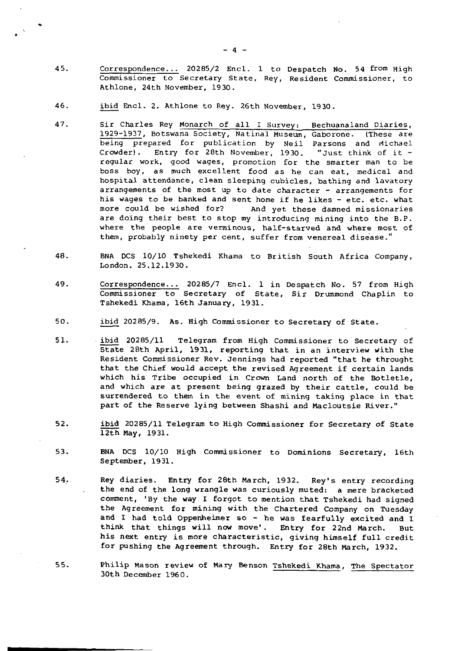- 45. Correspondence... 20285/2 Encl. 1 to Despatch No. 54 from High Commissioner to Secretary State, Rey, Resident Commissioner, to Athlone, 24th November, 1930.
- 46. ibid Encl. 2. Athlone to Rey. 26th November, 1930.
- 47. Sir Charles Rey Monarch of all I Survey: Bechuanaland Diaries, 1929-1937, Botswana Society, Natinal Museum, Gaborone. (These are being prepared for publication by Neil Parsons and Michael Crowder) . Entry for 28th November, 1930. "Just think of it regular work, good wages, promotion for the smarter man to be boss boy, as much excellent food as he can eat, medical and hospital attendance, clean sleeping cubicles, bathing and lavatory arrangements of the most up to date character - arrangements for his wages to be banked and sent home if he likes - etc. etc. what more could be wished for? And yet these damned missionaries are doing their best to stop my introducing mining into the B.P. where the people are verminous, half-starved and where most of them, probably ninety per cent, suffer from venereal disease."
- 48. BNA DCS 10/10 Tshekedi Khama to British South Africa Company, London. 25.12.1930.
- 49. Correspondence... 20285/7 Encl. 1 in Despatch No. 57 from High Commissioner to Secretary of State, Sir Drummond Chaplin to Tshekedi Khama, 16th January, 1931.
- 50. ibid 20285/9. As. High Commissioner to Secretary of State.
- 51. ibid 20285/11 Telegram from High Commissioner to Secretary of State 28th April, 1931, reporting that in an interview with the Resident Commissioner Rev. Jennings had reported "that he throught that the Chief would accept the revised Agreement if certain lands which his Tribe occupied in Crown Land north of the Botletle, and which are at present being grazed by their cattle, could be surrendered to them in the event of mining taking place in that part of the Reserve lying between Shashi and Macloutsie River."
- 52. ibid 20285/11 Telegram to High Commissioner for Secretary of State 12th May, 1931.
- 53. BNA DCS 10/10 High Commissioner to Dominions Secretary, 16th September, 1931.
- 54. Rey diaries. Entry for 28th March, 1932. Rey's entry recording the end of the long wrangle was curiously muted: a mere bracketed comment, 'By the way I forgot to mention that Tshekedi had signed the Agreement for mining with the Chartered Company on Tuesday and I had told Oppenheimer so - he was fearfully excited and I think that things will now move'. Entry for 22nd March. But his next entry is more characteristic, giving himself full credit for pushing the Agreement through. Entry for 28th March, 1932.
- 55. Philip Mason review of Mary Benson Tshekedi Khama, The Spectator 30th December 1960.